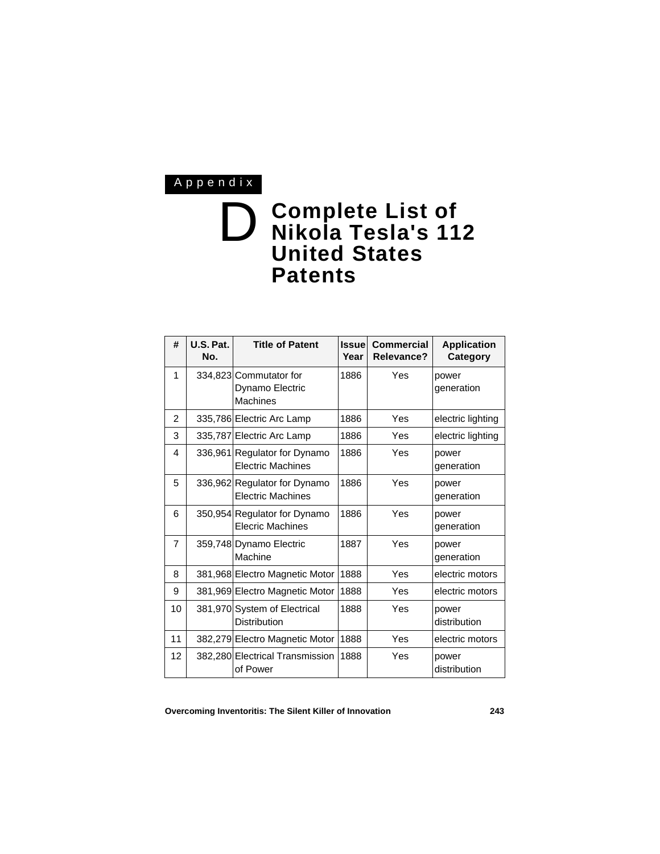## Appendix

## D **Complete List of Nikola Tesla's 112 United States Patents**

| #              | U.S. Pat.<br>No. | <b>Title of Patent</b>                                       | <b>Issuel</b><br>Year | <b>Commercial</b><br><b>Relevance?</b> | <b>Application</b><br>Category |
|----------------|------------------|--------------------------------------------------------------|-----------------------|----------------------------------------|--------------------------------|
| 1              |                  | 334,823 Commutator for<br>Dynamo Electric<br><b>Machines</b> | 1886                  | Yes                                    | power<br>generation            |
| $\overline{2}$ |                  | 335,786 Electric Arc Lamp                                    | 1886                  | Yes                                    | electric lighting              |
| 3              |                  | 335,787 Electric Arc Lamp                                    | 1886                  | Yes                                    | electric lighting              |
| 4              |                  | 336,961 Regulator for Dynamo<br><b>Electric Machines</b>     | 1886                  | Yes                                    | power<br>generation            |
| 5              |                  | 336,962 Regulator for Dynamo<br><b>Electric Machines</b>     | 1886                  | Yes                                    | power<br>generation            |
| 6              |                  | 350,954 Regulator for Dynamo<br><b>Elecric Machines</b>      | 1886                  | Yes                                    | power<br>generation            |
| 7              |                  | 359,748 Dynamo Electric<br>Machine                           | 1887                  | Yes                                    | power<br>generation            |
| 8              |                  | 381,968 Electro Magnetic Motor                               | 1888                  | Yes                                    | electric motors                |
| 9              |                  | 381,969 Electro Magnetic Motor                               | 1888                  | Yes                                    | electric motors                |
| 10             |                  | 381,970 System of Electrical<br><b>Distribution</b>          | 1888                  | Yes                                    | power<br>distribution          |
| 11             |                  | 382,279 Electro Magnetic Motor                               | 1888                  | Yes                                    | electric motors                |
| 12             |                  | 382,280 Electrical Transmission<br>of Power                  | 1888                  | Yes                                    | power<br>distribution          |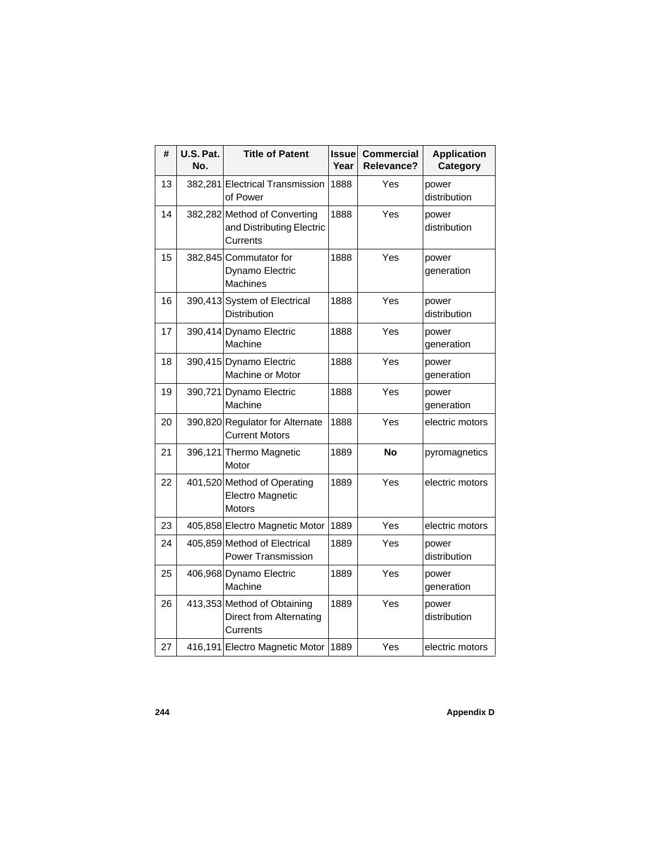| #  | U.S. Pat.<br>No. | <b>Title of Patent</b>                                                | <b>Issue</b><br>Year | <b>Commercial</b><br>Relevance? | <b>Application</b><br>Category |
|----|------------------|-----------------------------------------------------------------------|----------------------|---------------------------------|--------------------------------|
| 13 |                  | 382,281 Electrical Transmission<br>of Power                           | 1888                 | Yes                             | power<br>distribution          |
| 14 |                  | 382,282 Method of Converting<br>and Distributing Electric<br>Currents | 1888                 | Yes                             | power<br>distribution          |
| 15 |                  | 382,845 Commutator for<br>Dynamo Electric<br><b>Machines</b>          | 1888                 | Yes                             | power<br>generation            |
| 16 |                  | 390,413 System of Electrical<br>Distribution                          | 1888                 | Yes                             | power<br>distribution          |
| 17 |                  | 390,414 Dynamo Electric<br>Machine                                    | 1888                 | Yes                             | power<br>generation            |
| 18 |                  | 390,415 Dynamo Electric<br>Machine or Motor                           | 1888                 | Yes                             | power<br>generation            |
| 19 |                  | 390,721 Dynamo Electric<br>Machine                                    | 1888                 | Yes                             | power<br>generation            |
| 20 |                  | 390,820 Regulator for Alternate<br><b>Current Motors</b>              | 1888                 | Yes                             | electric motors                |
| 21 |                  | 396,121 Thermo Magnetic<br>Motor                                      | 1889                 | No                              | pyromagnetics                  |
| 22 |                  | 401,520 Method of Operating<br>Electro Magnetic<br><b>Motors</b>      | 1889                 | Yes                             | electric motors                |
| 23 |                  | 405,858 Electro Magnetic Motor                                        | 1889                 | Yes                             | electric motors                |
| 24 |                  | 405,859 Method of Electrical<br><b>Power Transmission</b>             | 1889                 | Yes                             | power<br>distribution          |
| 25 |                  | 406,968 Dynamo Electric<br>Machine                                    | 1889                 | Yes                             | power<br>generation            |
| 26 |                  | 413,353 Method of Obtaining<br>Direct from Alternating<br>Currents    | 1889                 | Yes                             | power<br>distribution          |
| 27 |                  | 416,191 Electro Magnetic Motor                                        | 1889                 | Yes                             | electric motors                |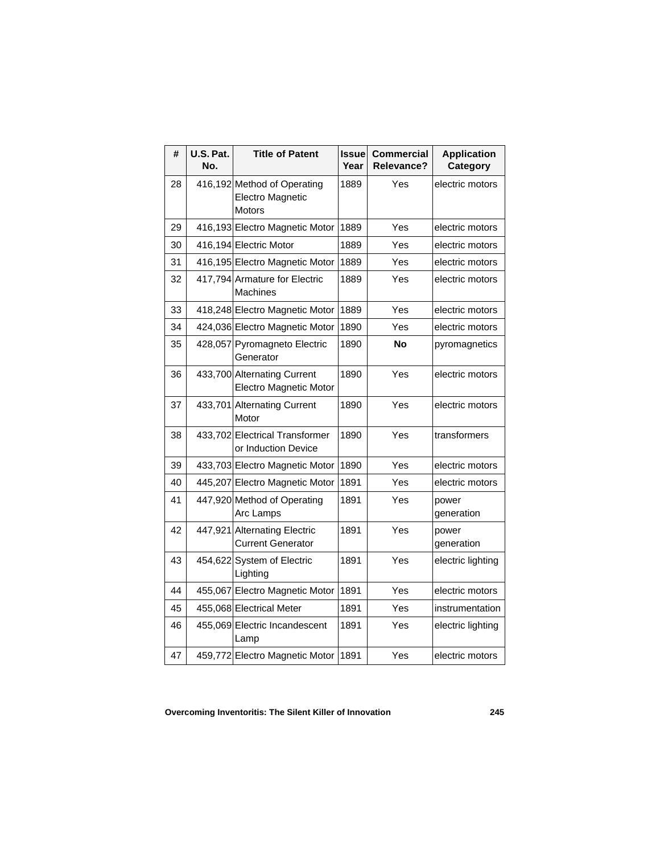| #  | U.S. Pat.<br>No. | <b>Title of Patent</b>                                           | <b>Issue</b><br>Year | <b>Commercial</b><br><b>Relevance?</b> | <b>Application</b><br>Category |
|----|------------------|------------------------------------------------------------------|----------------------|----------------------------------------|--------------------------------|
| 28 |                  | 416,192 Method of Operating<br>Electro Magnetic<br><b>Motors</b> | 1889                 | Yes                                    | electric motors                |
| 29 |                  | 416,193 Electro Magnetic Motor                                   | 1889                 | Yes                                    | electric motors                |
| 30 |                  | 416,194 Electric Motor                                           | 1889                 | Yes                                    | electric motors                |
| 31 |                  | 416,195 Electro Magnetic Motor                                   | 1889                 | Yes                                    | electric motors                |
| 32 |                  | 417,794 Armature for Electric<br>Machines                        | 1889                 | Yes                                    | electric motors                |
| 33 |                  | 418,248 Electro Magnetic Motor                                   | 1889                 | Yes                                    | electric motors                |
| 34 |                  | 424,036 Electro Magnetic Motor                                   | 1890                 | Yes                                    | electric motors                |
| 35 |                  | 428,057 Pyromagneto Electric<br>Generator                        | 1890                 | <b>No</b>                              | pyromagnetics                  |
| 36 |                  | 433,700 Alternating Current<br><b>Electro Magnetic Motor</b>     | 1890                 | Yes                                    | electric motors                |
| 37 |                  | 433,701 Alternating Current<br>Motor                             | 1890                 | Yes                                    | electric motors                |
| 38 |                  | 433,702 Electrical Transformer<br>or Induction Device            | 1890                 | Yes                                    | transformers                   |
| 39 |                  | 433,703 Electro Magnetic Motor                                   | 1890                 | Yes                                    | electric motors                |
| 40 |                  | 445,207 Electro Magnetic Motor                                   | 1891                 | Yes                                    | electric motors                |
| 41 |                  | 447,920 Method of Operating<br>Arc Lamps                         | 1891                 | Yes                                    | power<br>generation            |
| 42 |                  | 447,921 Alternating Electric<br><b>Current Generator</b>         | 1891                 | Yes                                    | power<br>generation            |
| 43 |                  | 454,622 System of Electric<br>Lighting                           | 1891                 | Yes                                    | electric lighting              |
| 44 |                  | 455,067 Electro Magnetic Motor                                   | 1891                 | Yes                                    | electric motors                |
| 45 |                  | 455,068 Electrical Meter                                         | 1891                 | Yes                                    | instrumentation                |
| 46 |                  | 455,069 Electric Incandescent<br>Lamp                            | 1891                 | Yes                                    | electric lighting              |
| 47 |                  | 459,772 Electro Magnetic Motor                                   | 1891                 | Yes                                    | electric motors                |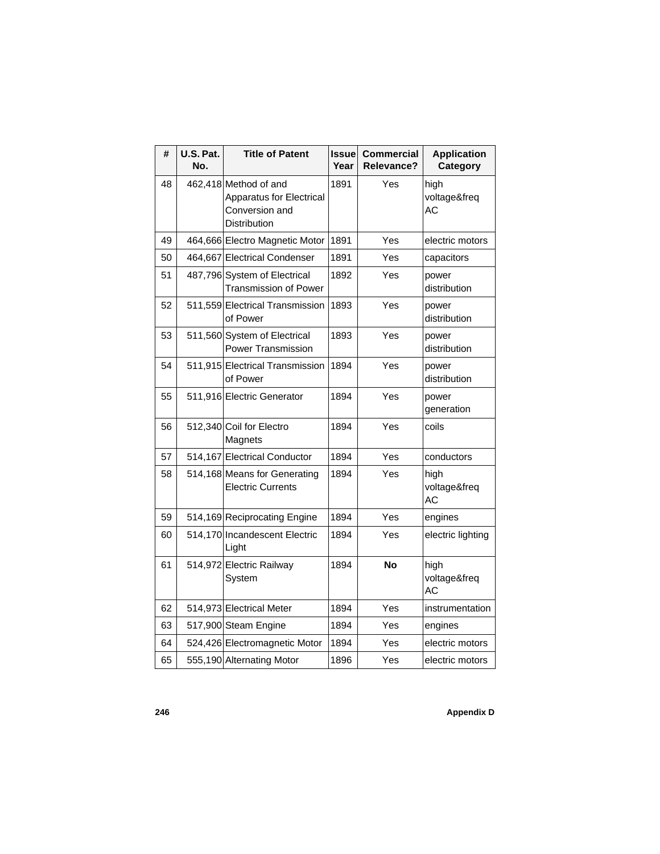| #  | U.S. Pat.<br>No. | <b>Title of Patent</b>                                                                     | <b>Issue</b><br>Year | <b>Commercial</b><br>Relevance? | <b>Application</b><br>Category    |
|----|------------------|--------------------------------------------------------------------------------------------|----------------------|---------------------------------|-----------------------------------|
| 48 |                  | 462,418 Method of and<br><b>Apparatus for Electrical</b><br>Conversion and<br>Distribution | 1891                 | Yes                             | high<br>voltage&freq<br>AC        |
| 49 |                  | 464,666 Electro Magnetic Motor                                                             | 1891                 | Yes                             | electric motors                   |
| 50 |                  | 464,667 Electrical Condenser                                                               | 1891                 | Yes                             | capacitors                        |
| 51 |                  | 487,796 System of Electrical<br><b>Transmission of Power</b>                               | 1892                 | Yes                             | power<br>distribution             |
| 52 |                  | 511,559 Electrical Transmission<br>of Power                                                | 1893                 | Yes                             | power<br>distribution             |
| 53 |                  | 511,560 System of Electrical<br>Power Transmission                                         | 1893                 | Yes                             | power<br>distribution             |
| 54 |                  | 511,915 Electrical Transmission<br>of Power                                                | 1894                 | Yes                             | power<br>distribution             |
| 55 |                  | 511,916 Electric Generator                                                                 | 1894                 | Yes                             | power<br>generation               |
| 56 |                  | 512,340 Coil for Electro<br>Magnets                                                        | 1894                 | Yes                             | coils                             |
| 57 |                  | 514,167 Electrical Conductor                                                               | 1894                 | Yes                             | conductors                        |
| 58 |                  | 514,168 Means for Generating<br><b>Electric Currents</b>                                   | 1894                 | Yes                             | high<br>voltage&freq<br><b>AC</b> |
| 59 |                  | 514,169 Reciprocating Engine                                                               | 1894                 | Yes                             | engines                           |
| 60 |                  | 514,170 Incandescent Electric<br>Light                                                     | 1894                 | Yes                             | electric lighting                 |
| 61 |                  | 514,972 Electric Railway<br>System                                                         | 1894                 | <b>No</b>                       | high<br>voltage&freq<br><b>AC</b> |
| 62 |                  | 514,973 Electrical Meter                                                                   | 1894                 | Yes                             | instrumentation                   |
| 63 |                  | 517,900 Steam Engine                                                                       | 1894                 | Yes                             | engines                           |
| 64 |                  | 524,426 Electromagnetic Motor                                                              | 1894                 | Yes                             | electric motors                   |
| 65 |                  | 555,190 Alternating Motor                                                                  | 1896                 | Yes                             | electric motors                   |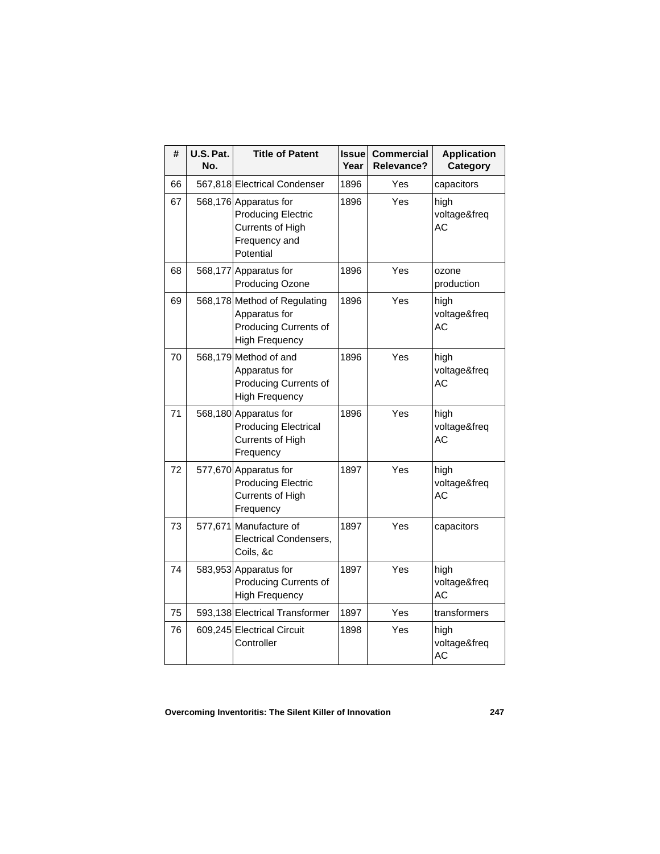| #  | U.S. Pat.<br>No. | <b>Title of Patent</b>                                                                               | <b>Issue</b><br>Year | <b>Commercial</b><br>Relevance? | <b>Application</b><br>Category    |
|----|------------------|------------------------------------------------------------------------------------------------------|----------------------|---------------------------------|-----------------------------------|
| 66 |                  | 567,818 Electrical Condenser                                                                         | 1896                 | Yes                             | capacitors                        |
| 67 |                  | 568,176 Apparatus for<br><b>Producing Electric</b><br>Currents of High<br>Frequency and<br>Potential | 1896                 | Yes                             | high<br>voltage&freq<br>AC        |
| 68 |                  | 568,177 Apparatus for<br><b>Producing Ozone</b>                                                      | 1896                 | Yes                             | ozone<br>production               |
| 69 |                  | 568,178 Method of Regulating<br>Apparatus for<br>Producing Currents of<br><b>High Frequency</b>      | 1896                 | Yes                             | high<br>voltage&freq<br><b>AC</b> |
| 70 |                  | 568,179 Method of and<br>Apparatus for<br>Producing Currents of<br><b>High Frequency</b>             | 1896                 | Yes                             | high<br>voltage&freq<br>AC        |
| 71 |                  | 568,180 Apparatus for<br><b>Producing Electrical</b><br><b>Currents of High</b><br>Frequency         | 1896                 | Yes                             | high<br>voltage&freq<br>AC        |
| 72 |                  | 577,670 Apparatus for<br><b>Producing Electric</b><br>Currents of High<br>Frequency                  | 1897                 | Yes                             | high<br>voltage&freq<br>AC        |
| 73 |                  | 577,671 Manufacture of<br>Electrical Condensers,<br>Coils, &c                                        | 1897                 | Yes                             | capacitors                        |
| 74 |                  | 583,953 Apparatus for<br>Producing Currents of<br><b>High Frequency</b>                              | 1897                 | Yes                             | high<br>voltage&freq<br><b>AC</b> |
| 75 |                  | 593,138 Electrical Transformer                                                                       | 1897                 | Yes                             | transformers                      |
| 76 |                  | 609,245 Electrical Circuit<br>Controller                                                             | 1898                 | Yes                             | high<br>voltage&freq<br>AC        |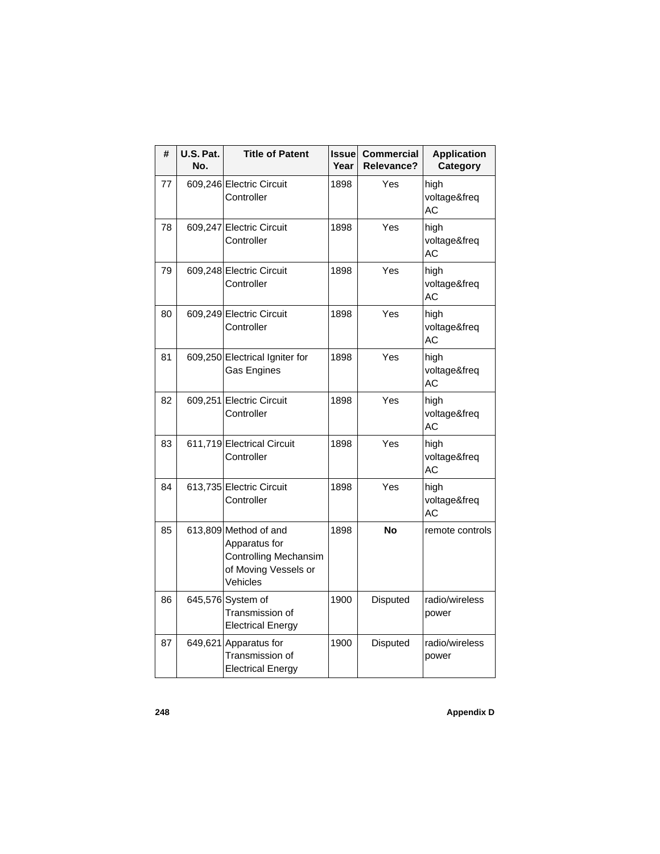| #  | U.S. Pat.<br>No. | <b>Title of Patent</b>                                                                              | <b>Issue</b><br>Year | <b>Commercial</b><br>Relevance? | <b>Application</b><br>Category    |
|----|------------------|-----------------------------------------------------------------------------------------------------|----------------------|---------------------------------|-----------------------------------|
| 77 |                  | 609,246 Electric Circuit<br>Controller                                                              | 1898                 | Yes                             | high<br>voltage&freq<br>AC        |
| 78 |                  | 609,247 Electric Circuit<br>Controller                                                              | 1898                 | Yes                             | high<br>voltage&freq<br><b>AC</b> |
| 79 |                  | 609,248 Electric Circuit<br>Controller                                                              | 1898                 | Yes                             | high<br>voltage&freq<br><b>AC</b> |
| 80 |                  | 609,249 Electric Circuit<br>Controller                                                              | 1898                 | Yes                             | high<br>voltage&freq<br>АC        |
| 81 |                  | 609,250 Electrical Igniter for<br>Gas Engines                                                       | 1898                 | Yes                             | high<br>voltage&freq<br>AC        |
| 82 |                  | 609,251 Electric Circuit<br>Controller                                                              | 1898                 | Yes                             | high<br>voltage&freq<br>АC        |
| 83 |                  | 611,719 Electrical Circuit<br>Controller                                                            | 1898                 | Yes                             | high<br>voltage&freq<br>АC        |
| 84 |                  | 613,735 Electric Circuit<br>Controller                                                              | 1898                 | Yes                             | high<br>voltage&freq<br>АC        |
| 85 |                  | 613,809 Method of and<br>Apparatus for<br>Controlling Mechansim<br>of Moving Vessels or<br>Vehicles | 1898                 | No                              | remote controls                   |
| 86 |                  | 645,576 System of<br>Transmission of<br><b>Electrical Energy</b>                                    | 1900                 | Disputed                        | radio/wireless<br>power           |
| 87 |                  | 649,621 Apparatus for<br>Transmission of<br><b>Electrical Energy</b>                                | 1900                 | Disputed                        | radio/wireless<br>power           |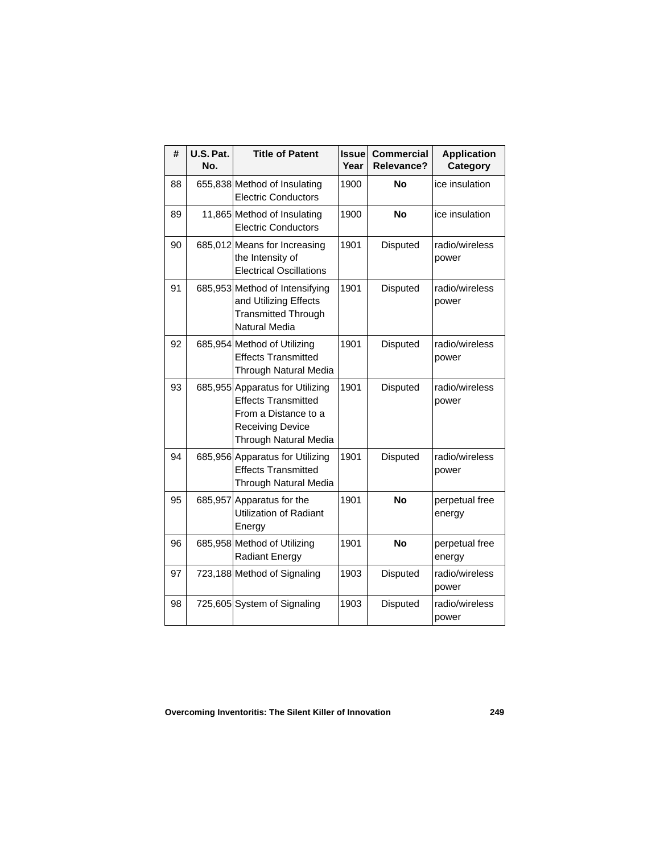| #  | U.S. Pat.<br>No. | <b>Title of Patent</b>                                                                                                                    | <b>Issue</b><br>Year | <b>Commercial</b><br><b>Relevance?</b> | <b>Application</b><br>Category |
|----|------------------|-------------------------------------------------------------------------------------------------------------------------------------------|----------------------|----------------------------------------|--------------------------------|
| 88 |                  | 655,838 Method of Insulating<br><b>Electric Conductors</b>                                                                                | 1900                 | No                                     | ice insulation                 |
| 89 |                  | 11,865 Method of Insulating<br><b>Electric Conductors</b>                                                                                 | 1900                 | <b>No</b>                              | ice insulation                 |
| 90 |                  | 685,012 Means for Increasing<br>the Intensity of<br><b>Electrical Oscillations</b>                                                        | 1901                 | Disputed                               | radio/wireless<br>power        |
| 91 |                  | 685,953 Method of Intensifying<br>and Utilizing Effects<br><b>Transmitted Through</b><br><b>Natural Media</b>                             | 1901                 | <b>Disputed</b>                        | radio/wireless<br>power        |
| 92 |                  | 685,954 Method of Utilizing<br><b>Effects Transmitted</b><br>Through Natural Media                                                        | 1901                 | Disputed                               | radio/wireless<br>power        |
| 93 |                  | 685,955 Apparatus for Utilizing<br><b>Effects Transmitted</b><br>From a Distance to a<br><b>Receiving Device</b><br>Through Natural Media | 1901                 | <b>Disputed</b>                        | radio/wireless<br>power        |
| 94 |                  | 685,956 Apparatus for Utilizing<br><b>Effects Transmitted</b><br>Through Natural Media                                                    | 1901                 | Disputed                               | radio/wireless<br>power        |
| 95 | 685,957          | Apparatus for the<br>Utilization of Radiant<br>Energy                                                                                     | 1901                 | <b>No</b>                              | perpetual free<br>energy       |
| 96 |                  | 685,958 Method of Utilizing<br><b>Radiant Energy</b>                                                                                      | 1901                 | <b>No</b>                              | perpetual free<br>energy       |
| 97 |                  | 723,188 Method of Signaling                                                                                                               | 1903                 | <b>Disputed</b>                        | radio/wireless<br>power        |
| 98 |                  | 725,605 System of Signaling                                                                                                               | 1903                 | Disputed                               | radio/wireless<br>power        |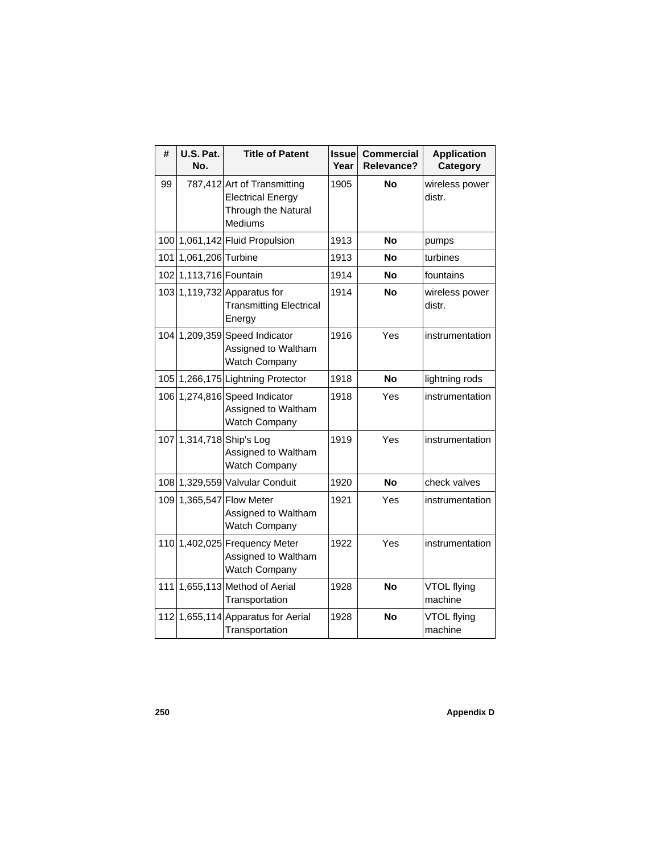| #   | U.S. Pat.<br>No.       | <b>Title of Patent</b>                                                                    | <b>Issuel</b><br>Year | <b>Commercial</b><br><b>Relevance?</b> | <b>Application</b><br>Category |
|-----|------------------------|-------------------------------------------------------------------------------------------|-----------------------|----------------------------------------|--------------------------------|
| 99  |                        | 787,412 Art of Transmitting<br><b>Electrical Energy</b><br>Through the Natural<br>Mediums | 1905                  | <b>No</b>                              | wireless power<br>distr.       |
|     |                        | 100 1,061,142 Fluid Propulsion                                                            | 1913                  | <b>No</b>                              | pumps                          |
|     | 101 1,061,206 Turbine  |                                                                                           | 1913                  | No                                     | turbines                       |
|     | 102 1,113,716 Fountain |                                                                                           | 1914                  | No                                     | fountains                      |
|     |                        | 103 1,119,732 Apparatus for<br><b>Transmitting Electrical</b><br>Energy                   | 1914                  | No                                     | wireless power<br>distr.       |
|     |                        | 104 1,209,359 Speed Indicator<br>Assigned to Waltham<br><b>Watch Company</b>              | 1916                  | Yes                                    | instrumentation                |
|     |                        | 105 1,266,175 Lightning Protector                                                         | 1918                  | <b>No</b>                              | lightning rods                 |
|     |                        | 106 1,274,816 Speed Indicator<br>Assigned to Waltham<br><b>Watch Company</b>              | 1918                  | Yes                                    | instrumentation                |
|     |                        | 107 1,314,718 Ship's Log<br>Assigned to Waltham<br>Watch Company                          | 1919                  | Yes                                    | instrumentation                |
|     |                        | 108 1,329,559 Valvular Conduit                                                            | 1920                  | <b>No</b>                              | check valves                   |
|     |                        | 109 1,365,547 Flow Meter<br>Assigned to Waltham<br>Watch Company                          | 1921                  | Yes                                    | instrumentation                |
| 110 |                        | 1,402,025 Frequency Meter<br>Assigned to Waltham<br>Watch Company                         | 1922                  | Yes                                    | instrumentation                |
| 111 |                        | 1,655,113 Method of Aerial<br>Transportation                                              | 1928                  | <b>No</b>                              | VTOL flying<br>machine         |
|     |                        | 112 1,655,114 Apparatus for Aerial<br>Transportation                                      | 1928                  | <b>No</b>                              | VTOL flying<br>machine         |

**250 Appendix D**